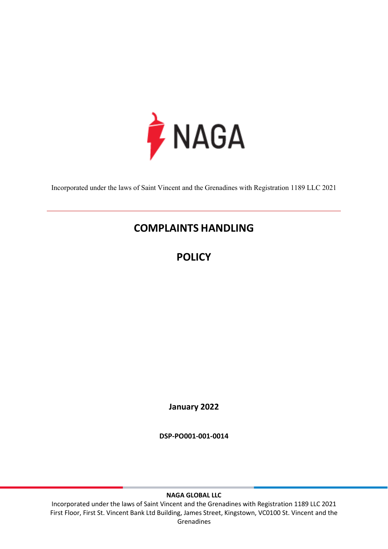

Incorporated under the laws of Saint Vincent and the Grenadines with Registration 1189 LLC 2021

# **COMPLAINTS HANDLING**

**POLICY**

**January 2022**

**DSP-PO001-001-0014**

**NAGA GLOBAL LLC**

Incorporated under the laws of Saint Vincent and the Grenadines with Registration 1189 LLC 2021 First Floor, First St. Vincent Bank Ltd Building, James Street, Kingstown, VC0100 St. Vincent and the Grenadines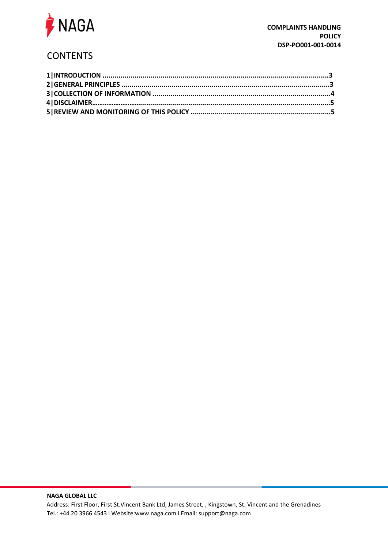

## **CONTENTS**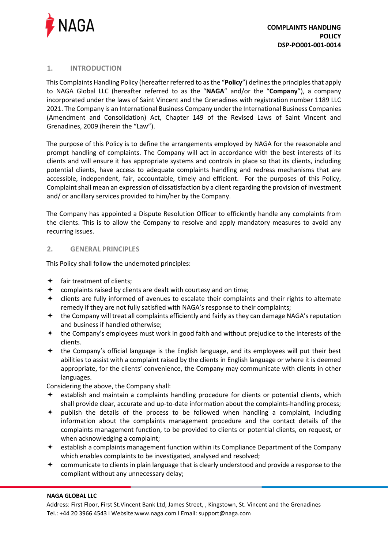

#### **1. INTRODUCTION**

This Complaints Handling Policy (hereafter referred to as the "**Policy**") defines the principles that apply to NAGA Global LLC (hereafter referred to as the "**NAGA**" and/or the "**Company**"), a company incorporated under the laws of Saint Vincent and the Grenadines with registration number 1189 LLC 2021. The Company is an International Business Company under the International Business Companies (Amendment and Consolidation) Act, Chapter 149 of the Revised Laws of Saint Vincent and Grenadines, 2009 (herein the "Law").

The purpose of this Policy is to define the arrangements employed by NAGA for the reasonable and prompt handling of complaints. The Company will act in accordance with the best interests of its clients and will ensure it has appropriate systems and controls in place so that its clients, including potential clients, have access to adequate complaints handling and redress mechanisms that are accessible, independent, fair, accountable, timely and efficient. For the purposes of this Policy, Complaint shall mean an expression of dissatisfaction by a client regarding the provision of investment and/ or ancillary services provided to him/her by the Company.

The Company has appointed a Dispute Resolution Officer to efficiently handle any complaints from the clients. This is to allow the Company to resolve and apply mandatory measures to avoid any recurring issues.

### **2. GENERAL PRINCIPLES**

This Policy shall follow the undernoted principles:

- $\bigstar$  fair treatment of clients;
- $\triangleq$  complaints raised by clients are dealt with courtesy and on time;
- clients are fully informed of avenues to escalate their complaints and their rights to alternate remedy if they are not fully satisfied with NAGA's response to their complaints;
- $\bigstar$  the Company will treat all complaints efficiently and fairly as they can damage NAGA's reputation and business if handled otherwise;
- the Company's employees must work in good faith and without prejudice to the interests of the clients.
- the Company's official language is the English language, and its employees will put their best abilities to assist with a complaint raised by the clients in English language or where it is deemed appropriate, for the clients' convenience, the Company may communicate with clients in other languages.

Considering the above, the Company shall:

- $\triangleq$  establish and maintain a complaints handling procedure for clients or potential clients, which shall provide clear, accurate and up-to-date information about the complaints-handling process;
- $\div$  publish the details of the process to be followed when handling a complaint, including information about the complaints management procedure and the contact details of the complaints management function, to be provided to clients or potential clients, on request, or when acknowledging a complaint;
- establish a complaints management function within its Compliance Department of the Company which enables complaints to be investigated, analysed and resolved;
- $\triangleq$  communicate to clients in plain language that is clearly understood and provide a response to the compliant without any unnecessary delay;

#### **NAGA GLOBAL LLC**

Address: First Floor, First St.Vincent Bank Ltd, James Street, , Kingstown, St. Vincent and the Grenadines Tel.: +44 20 3966 4543 l Website:www.naga.com l Email: support@naga.com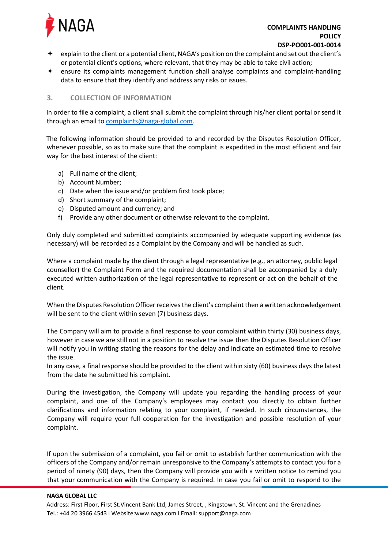

- $\div$  explain to the client or a potential client, NAGA's position on the complaint and set out the client's or potential client's options, where relevant, that they may be able to take civil action;
- ensure its complaints management function shall analyse complaints and complaint-handling data to ensure that they identify and address any risks or issues.

#### **3. COLLECTION OF INFORMATION**

In order to file a complaint, a client shall submit the complaint through his/her client portal or send it through an email t[o complaints@naga-global.com.](mailto:complaints@naga-global.com)

The following information should be provided to and recorded by the Disputes Resolution Officer, whenever possible, so as to make sure that the complaint is expedited in the most efficient and fair way for the best interest of the client:

- a) Full name of the client;
- b) Account Number;
- c) Date when the issue and/or problem first took place;
- d) Short summary of the complaint;
- e) Disputed amount and currency; and
- f) Provide any other document or otherwise relevant to the complaint.

Only duly completed and submitted complaints accompanied by adequate supporting evidence (as necessary) will be recorded as a Complaint by the Company and will be handled as such.

Where a complaint made by the client through a legal representative (e.g., an attorney, public legal counsellor) the Complaint Form and the required documentation shall be accompanied by a duly executed written authorization of the legal representative to represent or act on the behalf of the client.

When the Disputes Resolution Officer receives the client's complaint then a written acknowledgement will be sent to the client within seven (7) business days.

The Company will aim to provide a final response to your complaint within thirty (30) business days, however in case we are still not in a position to resolve the issue then the Disputes Resolution Officer will notify you in writing stating the reasons for the delay and indicate an estimated time to resolve the issue.

In any case, a final response should be provided to the client within sixty (60) business days the latest from the date he submitted his complaint.

During the investigation, the Company will update you regarding the handling process of your complaint, and one of the Company's employees may contact you directly to obtain further clarifications and information relating to your complaint, if needed. In such circumstances, the Company will require your full cooperation for the investigation and possible resolution of your complaint.

If upon the submission of a complaint, you fail or omit to establish further communication with the officers of the Company and/or remain unresponsive to the Company's attempts to contact you for a period of ninety (90) days, then the Company will provide you with a written notice to remind you that your communication with the Company is required. In case you fail or omit to respond to the

#### **NAGA GLOBAL LLC**

Address: First Floor, First St.Vincent Bank Ltd, James Street, , Kingstown, St. Vincent and the Grenadines Tel.: +44 20 3966 4543 l Website:www.naga.com l Email: support@naga.com